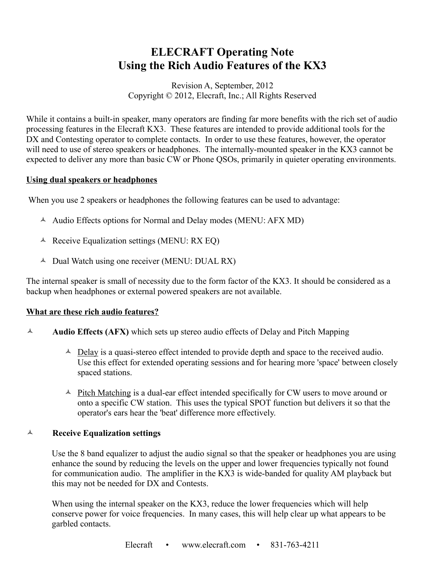# **ELECRAFT Operating Note Using the Rich Audio Features of the KX3**

Revision A, September, 2012 Copyright © 2012, Elecraft, Inc.; All Rights Reserved

While it contains a built-in speaker, many operators are finding far more benefits with the rich set of audio processing features in the Elecraft KX3. These features are intended to provide additional tools for the DX and Contesting operator to complete contacts. In order to use these features, however, the operator will need to use of stereo speakers or headphones. The internally-mounted speaker in the KX3 cannot be expected to deliver any more than basic CW or Phone QSOs, primarily in quieter operating environments.

#### **Using dual speakers or headphones**

When you use 2 speakers or headphones the following features can be used to advantage:

- $\triangle$  Audio Effects options for Normal and Delay modes (MENU: AFX MD)
- $\triangle$  Receive Equalization settings (MENU: RX EQ)
- $\triangle$  Dual Watch using one receiver (MENU: DUAL RX)

The internal speaker is small of necessity due to the form factor of the KX3. It should be considered as a backup when headphones or external powered speakers are not available.

## **What are these rich audio features?**

- **Audio Effects (AFX)** which sets up stereo audio effects of Delay and Pitch Mapping
	- $\triangle$  Delay is a quasi-stereo effect intended to provide depth and space to the received audio. Use this effect for extended operating sessions and for hearing more 'space' between closely spaced stations.
	- $\triangle$  Pitch Matching is a dual-ear effect intended specifically for CW users to move around or onto a specific CW station. This uses the typical SPOT function but delivers it so that the operator's ears hear the 'beat' difference more effectively.

#### **Receive Equalization settings**

Use the 8 band equalizer to adjust the audio signal so that the speaker or headphones you are using enhance the sound by reducing the levels on the upper and lower frequencies typically not found for communication audio. The amplifier in the KX3 is wide-banded for quality AM playback but this may not be needed for DX and Contests.

When using the internal speaker on the KX3, reduce the lower frequencies which will help conserve power for voice frequencies. In many cases, this will help clear up what appears to be garbled contacts.